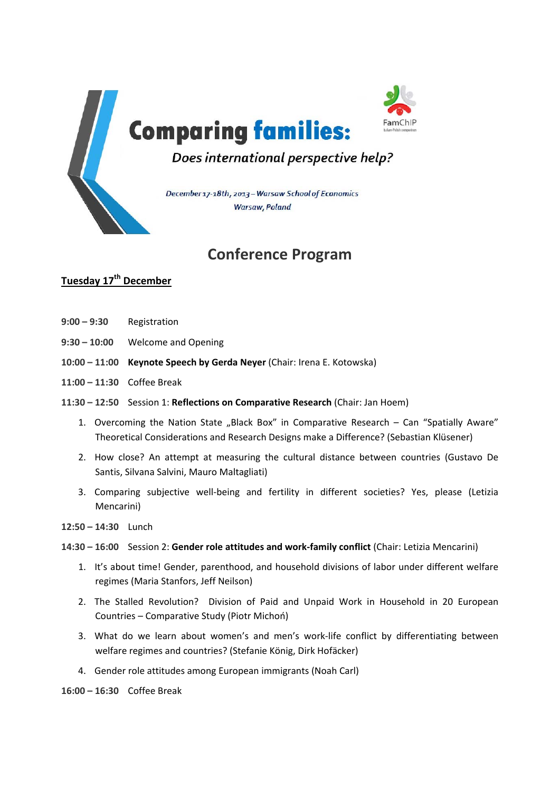

# **Conference Program**

## **Tuesday 17th December**

- **9:00 – 9:30** Registration
- **9:30 – 10:00** Welcome and Opening
- **10:00 – 11:00 Keynote Speech by Gerda Neyer** (Chair: Irena E. Kotowska)
- **11:00 – 11:30** Coffee Break
- **11:30 – 12:50** Session 1: **Reflections on Comparative Research** (Chair: Jan Hoem)
	- 1. Overcoming the Nation State "Black Box" in Comparative Research  $-$  Can "Spatially Aware" Theoretical Considerations and Research Designs make a Difference? (Sebastian Klüsener)
	- 2. How close? An attempt at measuring the cultural distance between countries (Gustavo De Santis, Silvana Salvini, Mauro Maltagliati)
	- 3. Comparing subjective well-being and fertility in different societies? Yes, please (Letizia Mencarini)
- **12:50 – 14:30** Lunch

**14:30 – 16:00** Session 2: **Gender role attitudes and work‐family conflict** (Chair: Letizia Mencarini)

- 1. It's about time! Gender, parenthood, and household divisions of labor under different welfare regimes (Maria Stanfors, Jeff Neilson)
- 2. The Stalled Revolution? Division of Paid and Unpaid Work in Household in 20 European Countries – Comparative Study (Piotr Michoń)
- 3. What do we learn about women's and men's work‐life conflict by differentiating between welfare regimes and countries? (Stefanie König, Dirk Hofäcker)
- 4. Gender role attitudes among European immigrants (Noah Carl)

**16:00 – 16:30** Coffee Break